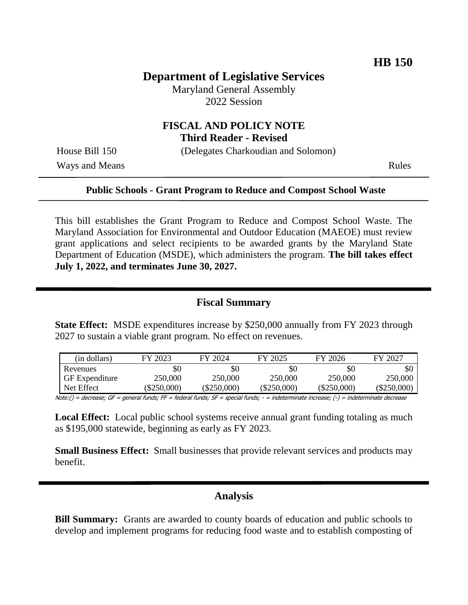# **Department of Legislative Services**

Maryland General Assembly 2022 Session

# **FISCAL AND POLICY NOTE Third Reader - Revised**

House Bill 150 (Delegates Charkoudian and Solomon)

Ways and Means Rules

### **Public Schools - Grant Program to Reduce and Compost School Waste**

This bill establishes the Grant Program to Reduce and Compost School Waste. The Maryland Association for Environmental and Outdoor Education (MAEOE) must review grant applications and select recipients to be awarded grants by the Maryland State Department of Education (MSDE), which administers the program. **The bill takes effect July 1, 2022, and terminates June 30, 2027.**

## **Fiscal Summary**

**State Effect:** MSDE expenditures increase by \$250,000 annually from FY 2023 through 2027 to sustain a viable grant program. No effect on revenues.

| (in dollars)          | FY 2023       | FY 2024       | FY 2025       | FY 2026       | FY 2027      |
|-----------------------|---------------|---------------|---------------|---------------|--------------|
| Revenues              | \$0           | \$0           | \$0           | \$0           | \$0          |
| <b>GF</b> Expenditure | 250,000       | 250,000       | 250,000       | 250,000       | 250,000      |
| Net Effect            | $(\$250,000)$ | $(\$250,000)$ | $(\$250,000)$ | $(\$250,000)$ | $(\$250,000$ |

Note:() = decrease; GF = general funds; FF = federal funds; SF = special funds; - = indeterminate increase; (-) = indeterminate decrease

**Local Effect:** Local public school systems receive annual grant funding totaling as much as \$195,000 statewide, beginning as early as FY 2023.

**Small Business Effect:** Small businesses that provide relevant services and products may benefit.

## **Analysis**

**Bill Summary:** Grants are awarded to county boards of education and public schools to develop and implement programs for reducing food waste and to establish composting of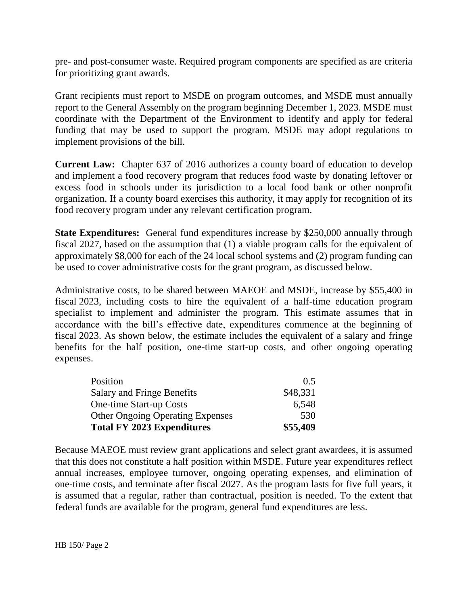pre- and post-consumer waste. Required program components are specified as are criteria for prioritizing grant awards.

Grant recipients must report to MSDE on program outcomes, and MSDE must annually report to the General Assembly on the program beginning December 1, 2023. MSDE must coordinate with the Department of the Environment to identify and apply for federal funding that may be used to support the program. MSDE may adopt regulations to implement provisions of the bill.

**Current Law:** Chapter 637 of 2016 authorizes a county board of education to develop and implement a food recovery program that reduces food waste by donating leftover or excess food in schools under its jurisdiction to a local food bank or other nonprofit organization. If a county board exercises this authority, it may apply for recognition of its food recovery program under any relevant certification program.

**State Expenditures:** General fund expenditures increase by \$250,000 annually through fiscal 2027, based on the assumption that (1) a viable program calls for the equivalent of approximately \$8,000 for each of the 24 local school systems and (2) program funding can be used to cover administrative costs for the grant program, as discussed below.

Administrative costs, to be shared between MAEOE and MSDE, increase by \$55,400 in fiscal 2023, including costs to hire the equivalent of a half-time education program specialist to implement and administer the program. This estimate assumes that in accordance with the bill's effective date, expenditures commence at the beginning of fiscal 2023. As shown below, the estimate includes the equivalent of a salary and fringe benefits for the half position, one-time start-up costs, and other ongoing operating expenses.

| <b>Total FY 2023 Expenditures</b>       | \$55,409 |
|-----------------------------------------|----------|
| <b>Other Ongoing Operating Expenses</b> | 530      |
| <b>One-time Start-up Costs</b>          | 6,548    |
| <b>Salary and Fringe Benefits</b>       | \$48,331 |
| Position                                | 0.5      |

Because MAEOE must review grant applications and select grant awardees, it is assumed that this does not constitute a half position within MSDE. Future year expenditures reflect annual increases, employee turnover, ongoing operating expenses, and elimination of one-time costs, and terminate after fiscal 2027. As the program lasts for five full years, it is assumed that a regular, rather than contractual, position is needed. To the extent that federal funds are available for the program, general fund expenditures are less.